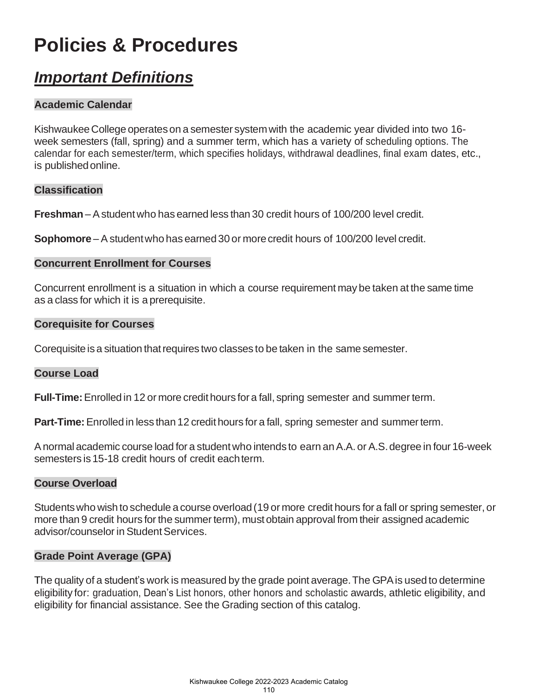# **Policies & Procedures**

# *Important Definitions*

# **Academic Calendar**

KishwaukeeCollege operateson a semester systemwith the academic year divided into two 16 week semesters (fall, spring) and a summer term, which has a variety of scheduling options. The calendar for each semester/term, which specifies holidays, withdrawal deadlines, final exam dates, etc., is publishedonline.

#### **Classification**

**Freshman** – Astudentwho has earned less than 30 credit hours of 100/200 level credit.

**Sophomore** – A student who has earned 30 or more credit hours of 100/200 level credit.

#### **Concurrent Enrollment for Courses**

Concurrent enrollment is a situation in which a course requirement may be taken at the same time as a class for which it is a prerequisite.

#### **Corequisite for Courses**

Corequisite is a situation that requires two classes to be taken in the same semester.

#### **Course Load**

**Full-Time:**Enrolled in 12 or more credit hours for a fall, spring semester and summer term.

**Part-Time:** Enrolled in less than 12 credit hours for a fall, spring semester and summer term.

Anormal academic course load for a studentwho intends to earn anA.A. or A.S.degree in four 16-week semesters is 15-18 credit hours of credit each term.

#### **Course Overload**

Studentswho wish to schedule a course overload(19 or more credit hours for a fall or spring semester, or more than 9 credit hours for the summer term), must obtain approval from their assigned academic advisor/counselor in Student Services.

#### **Grade Point Average (GPA)**

The quality of a student's work is measured by the grade point average.The GPAis used to determine eligibility for: graduation, Dean's List honors, other honors and scholastic awards, athletic eligibility, and eligibility for financial assistance. See the Grading section of this catalog.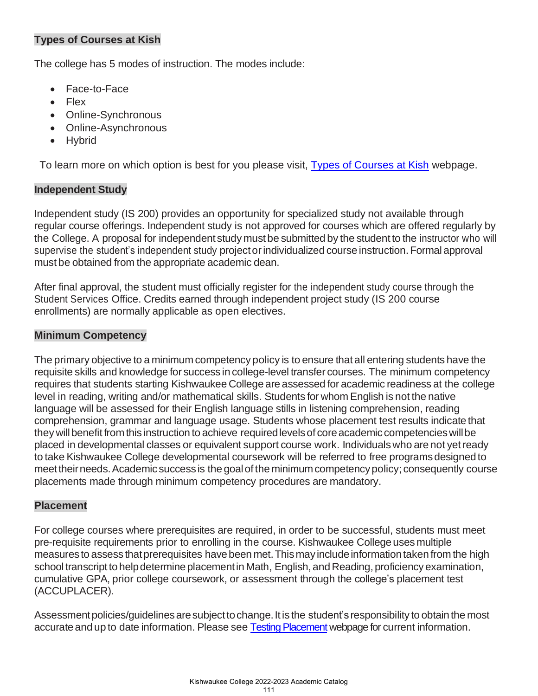# **Types of Courses at Kish**

The college has 5 modes of instruction. The modes include:

- Face-to-Face
- Flex
- Online-Synchronous
- Online-Asynchronous
- Hybrid

To learn more on which option is best for you please visit, [Types of Courses at Kish](https://kish.edu/academics/course-search/types-of-courses.php) webpage.

#### **Independent Study**

Independent study (IS 200) provides an opportunity for specialized study not available through regular course offerings. Independent study is not approved for courses which are offered regularly by the College. A proposal for independent study must be submitted by the studentto the instructor who will supervise the student's independent study project or individualized course instruction. Formal approval must be obtained from the appropriate academic dean.

After final approval, the student must officially register for the independent study course through the Student Services Office. Credits earned through independent project study (IS 200 course enrollments) are normally applicable as open electives.

## **Minimum Competency**

The primary objective to a minimum competency policy is to ensure that all entering students have the requisite skills and knowledge for success in college-level transfer courses. The minimum competency requires that students starting Kishwaukee College are assessed for academic readiness at the college level in reading, writing and/or mathematical skills. Students for whom English is not the native language will be assessed for their English language stills in listening comprehension, reading comprehension, grammar and language usage. Students whose placement test results indicate that they will benefit from this instruction to achieve required levels of core academic competencies will be placed in developmental classes or equivalent support course work. Individuals who are not yetready to take Kishwaukee College developmental coursework will be referred to free programsdesignedto meettheirneeds.Academic success is the goalofthe minimumcompetencypolicy; consequently course placements made through minimum competency procedures are mandatory.

#### **Placement**

For college courses where prerequisites are required, in order to be successful, students must meet pre-requisite requirements prior to enrolling in the course. Kishwaukee Collegeuses multiple measures to assess that prerequisites have been met. This may include information taken from the high school transcript to help determine placement in Math, English, and Reading, proficiency examination, cumulative GPA, prior college coursework, or assessment through the college's placement test (ACCUPLACER).

Assessment policies/guidelines are subject to change. It is the student's responsibility to obtain the most accurate and up to date information. Please see [Testing Placement](https://kish.edu/student-services/additional-services/testing-services/placement.php) webpage for current information.